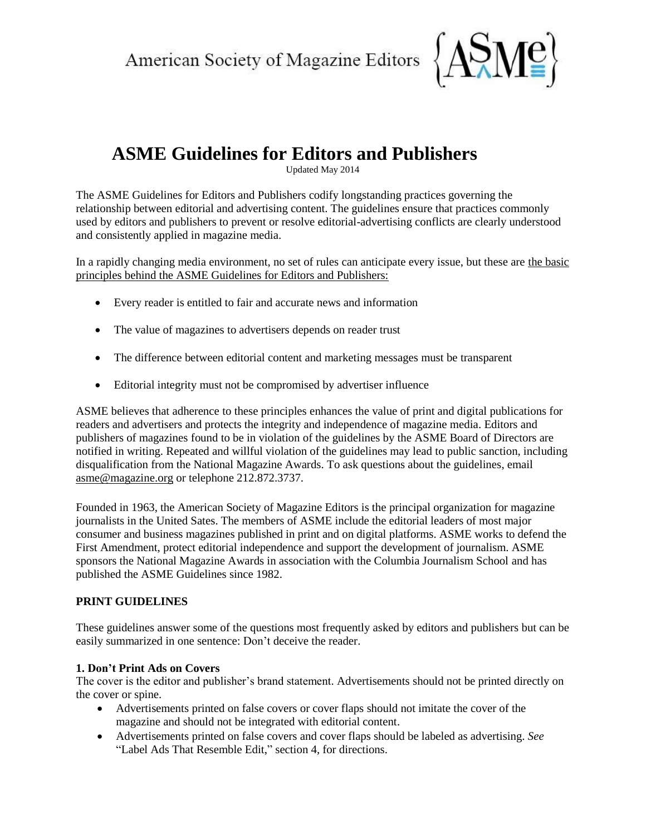American Society of Magazine Editors



# **ASME Guidelines for Editors and Publishers**

Updated May 2014

The ASME Guidelines for Editors and Publishers codify longstanding practices governing the relationship between editorial and advertising content. The guidelines ensure that practices commonly used by editors and publishers to prevent or resolve editorial-advertising conflicts are clearly understood and consistently applied in magazine media.

In a rapidly changing media environment, no set of rules can anticipate every issue, but these are the basic principles behind the ASME Guidelines for Editors and Publishers:

- Every reader is entitled to fair and accurate news and information
- The value of magazines to advertisers depends on reader trust
- The difference between editorial content and marketing messages must be transparent
- Editorial integrity must not be compromised by advertiser influence

ASME believes that adherence to these principles enhances the value of print and digital publications for readers and advertisers and protects the integrity and independence of magazine media. Editors and publishers of magazines found to be in violation of the guidelines by the ASME Board of Directors are notified in writing. Repeated and willful violation of the guidelines may lead to public sanction, including disqualification from the National Magazine Awards. To ask questions about the guidelines, email [asme@magazine.org](mailto:asme@magazine.org) or telephone 212.872.3737.

Founded in 1963, the American Society of Magazine Editors is the principal organization for magazine journalists in the United Sates. The members of ASME include the editorial leaders of most major consumer and business magazines published in print and on digital platforms. ASME works to defend the First Amendment, protect editorial independence and support the development of journalism. ASME sponsors the National Magazine Awards in association with the Columbia Journalism School and has published the ASME Guidelines since 1982.

# **PRINT GUIDELINES**

These guidelines answer some of the questions most frequently asked by editors and publishers but can be easily summarized in one sentence: Don't deceive the reader.

# **1. Don't Print Ads on Covers**

The cover is the editor and publisher's brand statement. Advertisements should not be printed directly on the cover or spine.

- Advertisements printed on false covers or cover flaps should not imitate the cover of the magazine and should not be integrated with editorial content.
- Advertisements printed on false covers and cover flaps should be labeled as advertising. *See* "Label Ads That Resemble Edit," section 4, for directions.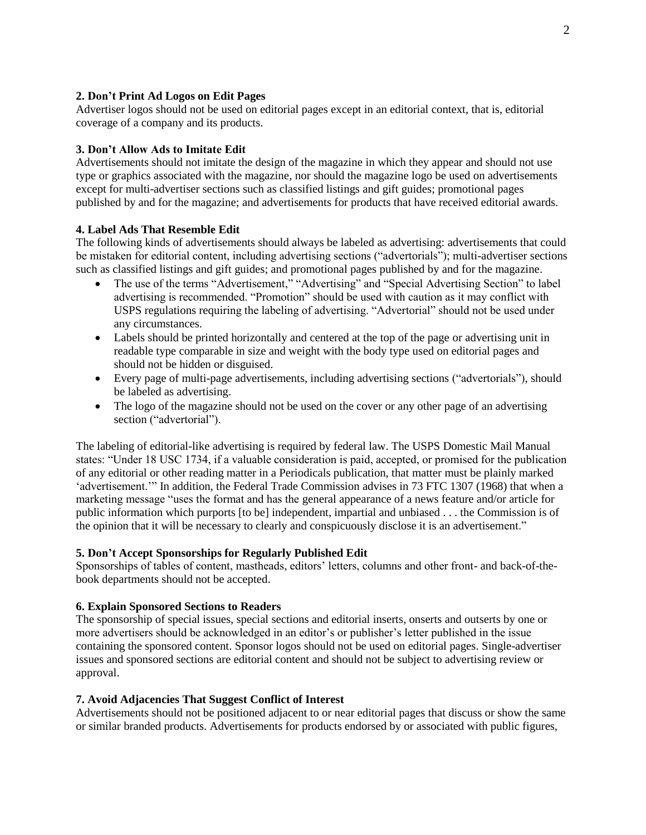## **2. Don't Print Ad Logos on Edit Pages**

Advertiser logos should not be used on editorial pages except in an editorial context, that is, editorial coverage of a company and its products.

#### **3. Don't Allow Ads to Imitate Edit**

Advertisements should not imitate the design of the magazine in which they appear and should not use type or graphics associated with the magazine, nor should the magazine logo be used on advertisements except for multi-advertiser sections such as classified listings and gift guides; promotional pages published by and for the magazine; and advertisements for products that have received editorial awards.

#### **4. Label Ads That Resemble Edit**

The following kinds of advertisements should always be labeled as advertising: advertisements that could be mistaken for editorial content, including advertising sections ("advertorials"); multi-advertiser sections such as classified listings and gift guides; and promotional pages published by and for the magazine.

- The use of the terms "Advertisement," "Advertising" and "Special Advertising Section" to label advertising is recommended. "Promotion" should be used with caution as it may conflict with USPS regulations requiring the labeling of advertising. "Advertorial" should not be used under any circumstances.
- Labels should be printed horizontally and centered at the top of the page or advertising unit in readable type comparable in size and weight with the body type used on editorial pages and should not be hidden or disguised.
- Every page of multi-page advertisements, including advertising sections ("advertorials"), should be labeled as advertising.
- The logo of the magazine should not be used on the cover or any other page of an advertising section ("advertorial").

The labeling of editorial-like advertising is required by federal law. The USPS Domestic Mail Manual states: "Under 18 USC 1734, if a valuable consideration is paid, accepted, or promised for the publication of any editorial or other reading matter in a Periodicals publication, that matter must be plainly marked 'advertisement.'" In addition, the Federal Trade Commission advises in 73 FTC 1307 (1968) that when a marketing message "uses the format and has the general appearance of a news feature and/or article for public information which purports [to be] independent, impartial and unbiased . . . the Commission is of the opinion that it will be necessary to clearly and conspicuously disclose it is an advertisement."

#### **5. Don't Accept Sponsorships for Regularly Published Edit**

Sponsorships of tables of content, mastheads, editors' letters, columns and other front- and back-of-thebook departments should not be accepted.

#### **6. Explain Sponsored Sections to Readers**

The sponsorship of special issues, special sections and editorial inserts, onserts and outserts by one or more advertisers should be acknowledged in an editor's or publisher's letter published in the issue containing the sponsored content. Sponsor logos should not be used on editorial pages. Single-advertiser issues and sponsored sections are editorial content and should not be subject to advertising review or approval.

#### **7. Avoid Adjacencies That Suggest Conflict of Interest**

Advertisements should not be positioned adjacent to or near editorial pages that discuss or show the same or similar branded products. Advertisements for products endorsed by or associated with public figures,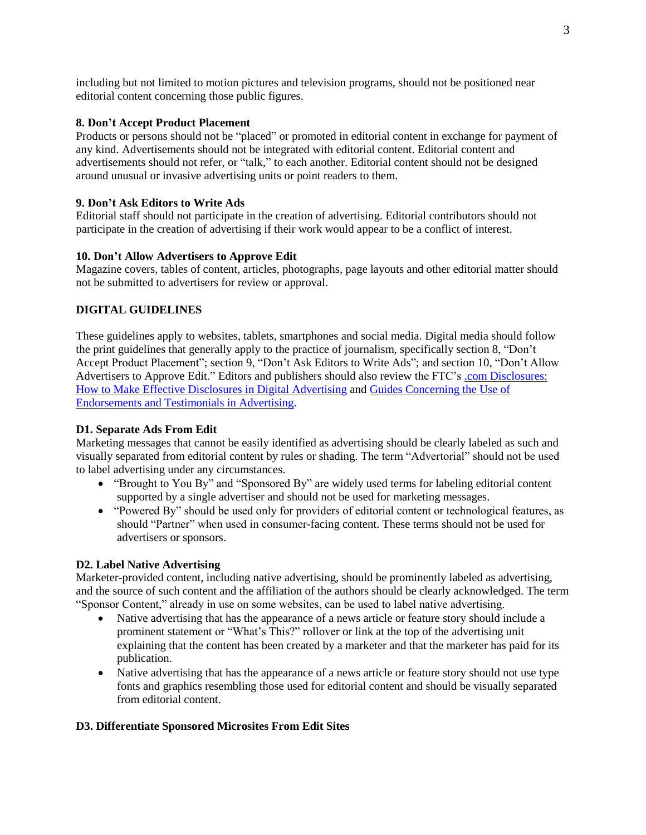including but not limited to motion pictures and television programs, should not be positioned near editorial content concerning those public figures.

## **8. Don't Accept Product Placement**

Products or persons should not be "placed" or promoted in editorial content in exchange for payment of any kind. Advertisements should not be integrated with editorial content. Editorial content and advertisements should not refer, or "talk," to each another. Editorial content should not be designed around unusual or invasive advertising units or point readers to them.

### **9. Don't Ask Editors to Write Ads**

Editorial staff should not participate in the creation of advertising. Editorial contributors should not participate in the creation of advertising if their work would appear to be a conflict of interest.

#### **10. Don't Allow Advertisers to Approve Edit**

Magazine covers, tables of content, articles, photographs, page layouts and other editorial matter should not be submitted to advertisers for review or approval.

### **DIGITAL GUIDELINES**

These guidelines apply to websites, tablets, smartphones and social media. Digital media should follow the print guidelines that generally apply to the practice of journalism, specifically section 8, "Don't Accept Product Placement"; section 9, "Don't Ask Editors to Write Ads"; and section 10, "Don't Allow Advertisers to Approve Edit." Editors and publishers should also review the FTC's [.com Disclosures:](http://www.ftc.gov/os/2013/03/130312dotcomdisclosures.pdf)  [How to Make Effective Disclosures in Digital Advertising](http://www.ftc.gov/os/2013/03/130312dotcomdisclosures.pdf) and [Guides Concerning the Use of](http://ftc.gov/os/2009/10/091005revisedendorsementguides.pdf)  [Endorsements and Testimonials in Advertising.](http://ftc.gov/os/2009/10/091005revisedendorsementguides.pdf)

#### **D1. Separate Ads From Edit**

Marketing messages that cannot be easily identified as advertising should be clearly labeled as such and visually separated from editorial content by rules or shading. The term "Advertorial" should not be used to label advertising under any circumstances.

- "Brought to You By" and "Sponsored By" are widely used terms for labeling editorial content supported by a single advertiser and should not be used for marketing messages.
- "Powered By" should be used only for providers of editorial content or technological features, as should "Partner" when used in consumer-facing content. These terms should not be used for advertisers or sponsors.

## **D2. Label Native Advertising**

Marketer-provided content, including native advertising, should be prominently labeled as advertising, and the source of such content and the affiliation of the authors should be clearly acknowledged. The term "Sponsor Content," already in use on some websites, can be used to label native advertising.

- Native advertising that has the appearance of a news article or feature story should include a prominent statement or "What's This?" rollover or link at the top of the advertising unit explaining that the content has been created by a marketer and that the marketer has paid for its publication.
- Native advertising that has the appearance of a news article or feature story should not use type fonts and graphics resembling those used for editorial content and should be visually separated from editorial content.

#### **D3. Differentiate Sponsored Microsites From Edit Sites**